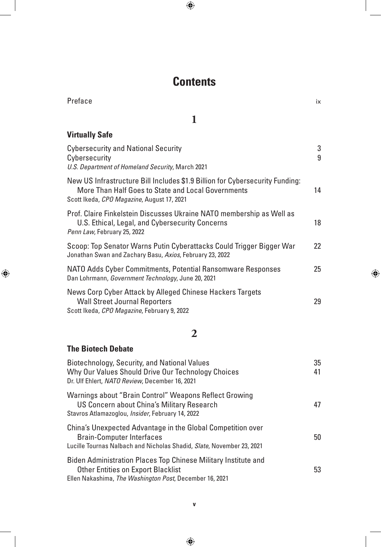# **Contents**

| Preface                                                                                                                                                                          | ix       |  |  |
|----------------------------------------------------------------------------------------------------------------------------------------------------------------------------------|----------|--|--|
| 1                                                                                                                                                                                |          |  |  |
| <b>Virtually Safe</b>                                                                                                                                                            |          |  |  |
| <b>Cybersecurity and National Security</b><br>Cybersecurity<br>U.S. Department of Homeland Security, March 2021                                                                  | 3<br>9   |  |  |
| New US Infrastructure Bill Includes \$1.9 Billion for Cybersecurity Funding:<br>More Than Half Goes to State and Local Governments<br>Scott Ikeda, CPO Magazine, August 17, 2021 | 14       |  |  |
| Prof. Claire Finkelstein Discusses Ukraine NATO membership as Well as<br>U.S. Ethical, Legal, and Cybersecurity Concerns<br>Penn Law, February 25, 2022                          | 18       |  |  |
| Scoop: Top Senator Warns Putin Cyberattacks Could Trigger Bigger War<br>Jonathan Swan and Zachary Basu, Axios, February 23, 2022                                                 | 22       |  |  |
| NATO Adds Cyber Commitments, Potential Ransomware Responses<br>Dan Lohrmann, Government Technology, June 20, 2021                                                                |          |  |  |
| News Corp Cyber Attack by Alleged Chinese Hackers Targets<br><b>Wall Street Journal Reporters</b><br>Scott Ikeda, CPO Magazine, February 9, 2022                                 | 29       |  |  |
| $\mathbf{2}$                                                                                                                                                                     |          |  |  |
| <b>The Biotech Debate</b>                                                                                                                                                        |          |  |  |
| Biotechnology, Security, and National Values<br>Why Our Values Should Drive Our Technology Choices                                                                               | 35<br>41 |  |  |

| Dr. Ulf Ehlert, NATO Review, December 16, 2021                                                                                                                           |    |
|--------------------------------------------------------------------------------------------------------------------------------------------------------------------------|----|
| Warnings about "Brain Control" Weapons Reflect Growing<br>US Concern about China's Military Research<br>Stavros Atlamazoglou, <i>Insider</i> , February 14, 2022         | 47 |
| China's Unexpected Advantage in the Global Competition over<br><b>Brain-Computer Interfaces</b><br>Lucille Tournas Nalbach and Nicholas Shadid, Slate, November 23, 2021 | 50 |
| Biden Administration Places Top Chinese Military Institute and<br><b>Other Entities on Export Blacklist</b><br>Ellen Nakashima, The Washington Post, December 16, 2021   | 53 |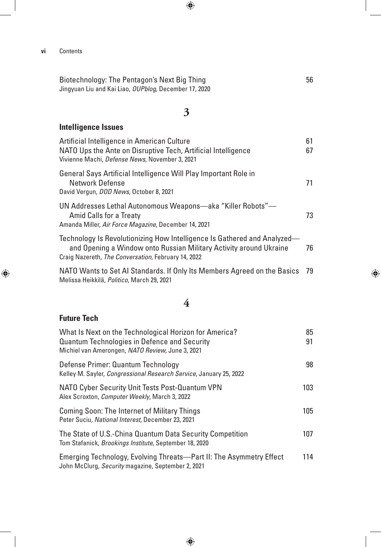Biotechnology: The Pentagon's Next Big Thing 56 Jingyuan Liu and Kai Liao, *OUPblog*, December 17, 2020

### **3**

#### **Intelligence Issues**

| Artificial Intelligence in American Culture<br>NATO Ups the Ante on Disruptive Tech, Artificial Intelligence<br>Vivienne Machi, Defense News, November 3, 2021                                        | 61<br>67 |
|-------------------------------------------------------------------------------------------------------------------------------------------------------------------------------------------------------|----------|
| General Says Artificial Intelligence Will Play Important Role in<br>Network Defense<br>David Vergun, DOD News, October 8, 2021                                                                        | 71       |
| UN Addresses Lethal Autonomous Weapons—aka "Killer Robots"—<br><b>Amid Calls for a Treaty</b><br>Amanda Miller, Air Force Magazine, December 14, 2021                                                 | 73       |
| Technology Is Revolutionizing How Intelligence Is Gathered and Analyzed—<br>and Opening a Window onto Russian Military Activity around Ukraine<br>Craig Nazereth, The Conversation, February 14, 2022 | 76       |
| NATO Wants to Set AI Standards. If Only Its Members Agreed on the Basics                                                                                                                              | - 79     |

Melissa Heikkilä, *Politico*, March 29, 2021

#### **4**

#### **Future Tech**

| What Is Next on the Technological Horizon for America?                                                                    | 85  |
|---------------------------------------------------------------------------------------------------------------------------|-----|
| <b>Quantum Technologies in Defence and Security</b><br>Michiel van Amerongen, NATO Review, June 3, 2021                   | 91  |
| Defense Primer: Quantum Technology<br>Kelley M. Sayler, Congressional Research Service, January 25, 2022                  | 98  |
| NATO Cyber Security Unit Tests Post-Quantum VPN<br>Alex Scroxton, Computer Weekly, March 3, 2022                          | 103 |
| <b>Coming Soon: The Internet of Military Things</b><br>Peter Suciu, National Interest, December 23, 2021                  | 105 |
| The State of U.S.-China Quantum Data Security Competition<br>Tom Stafanick, Brookings Institute, September 18, 2020       | 107 |
| Emerging Technology, Evolving Threats—Part II: The Asymmetry Effect<br>John McClurg, Security magazine, September 2, 2021 | 114 |